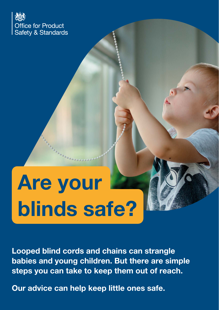

# Are your blinds safe?

Looped blind cords and chains can strangle babies and young children. But there are simple steps you can take to keep them out of reach.

Our advice can help keep little ones safe.